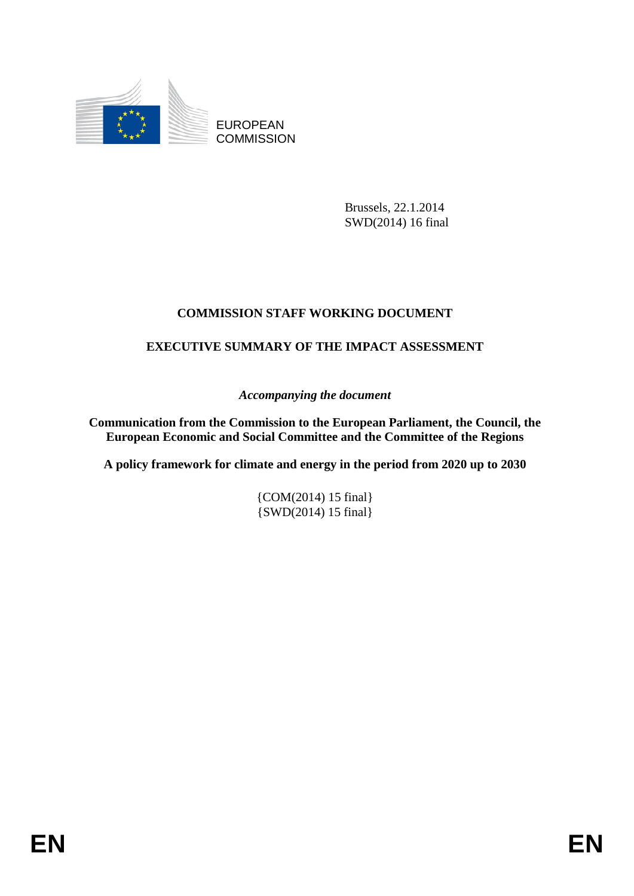

EUROPEAN **COMMISSION** 

> Brussels, 22.1.2014 SWD(2014) 16 final

# **COMMISSION STAFF WORKING DOCUMENT**

# **EXECUTIVE SUMMARY OF THE IMPACT ASSESSMENT**

*Accompanying the document* 

**Communication from the Commission to the European Parliament, the Council, the European Economic and Social Committee and the Committee of the Regions** 

**A policy framework for climate and energy in the period from 2020 up to 2030** 

{COM(2014) 15 final} {SWD(2014) 15 final}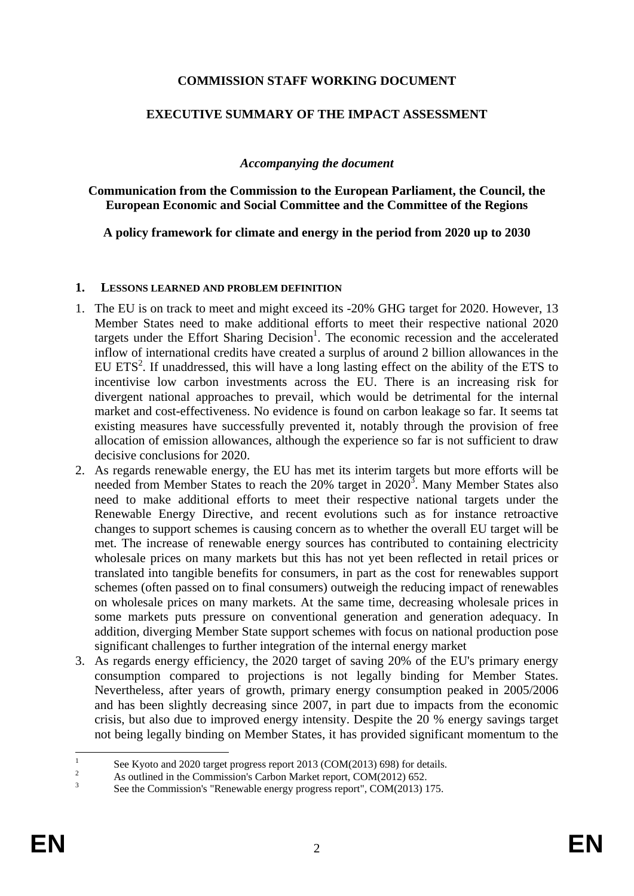#### **COMMISSION STAFF WORKING DOCUMENT**

#### **EXECUTIVE SUMMARY OF THE IMPACT ASSESSMENT**

#### *Accompanying the document*

**Communication from the Commission to the European Parliament, the Council, the European Economic and Social Committee and the Committee of the Regions** 

**A policy framework for climate and energy in the period from 2020 up to 2030** 

#### **1. LESSONS LEARNED AND PROBLEM DEFINITION**

- 1. The EU is on track to meet and might exceed its -20% GHG target for 2020. However, 13 Member States need to make additional efforts to meet their respective national 2020 targets under the Effort Sharing Decision<sup>1</sup>. The economic recession and the accelerated inflow of international credits have created a surplus of around 2 billion allowances in the EU ETS<sup>2</sup>. If unaddressed, this will have a long lasting effect on the ability of the ETS to incentivise low carbon investments across the EU. There is an increasing risk for divergent national approaches to prevail, which would be detrimental for the internal market and cost-effectiveness. No evidence is found on carbon leakage so far. It seems tat existing measures have successfully prevented it, notably through the provision of free allocation of emission allowances, although the experience so far is not sufficient to draw decisive conclusions for 2020.
- 2. As regards renewable energy, the EU has met its interim targets but more efforts will be needed from Member States to reach the  $20\%$  target in  $2020^3$ . Many Member States also need to make additional efforts to meet their respective national targets under the Renewable Energy Directive, and recent evolutions such as for instance retroactive changes to support schemes is causing concern as to whether the overall EU target will be met. The increase of renewable energy sources has contributed to containing electricity wholesale prices on many markets but this has not yet been reflected in retail prices or translated into tangible benefits for consumers, in part as the cost for renewables support schemes (often passed on to final consumers) outweigh the reducing impact of renewables on wholesale prices on many markets. At the same time, decreasing wholesale prices in some markets puts pressure on conventional generation and generation adequacy. In addition, diverging Member State support schemes with focus on national production pose significant challenges to further integration of the internal energy market
- 3. As regards energy efficiency, the 2020 target of saving 20% of the EU's primary energy consumption compared to projections is not legally binding for Member States. Nevertheless, after years of growth, primary energy consumption peaked in 2005/2006 and has been slightly decreasing since 2007, in part due to impacts from the economic crisis, but also due to improved energy intensity. Despite the 20 % energy savings target not being legally binding on Member States, it has provided significant momentum to the

 $\frac{1}{1}$ See Kyoto and 2020 target progress report 2013 (COM(2013) 698) for details.

<sup>2</sup> As outlined in the Commission's Carbon Market report, COM(2012) 652.

<sup>3</sup> See the Commission's "Renewable energy progress report", COM(2013) 175.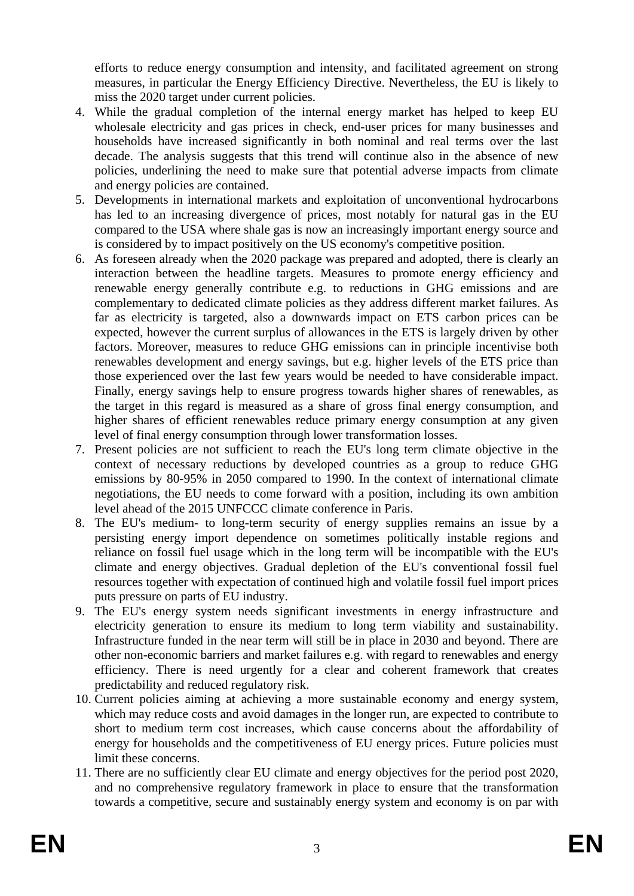efforts to reduce energy consumption and intensity, and facilitated agreement on strong measures, in particular the Energy Efficiency Directive. Nevertheless, the EU is likely to miss the 2020 target under current policies.

- 4. While the gradual completion of the internal energy market has helped to keep EU wholesale electricity and gas prices in check, end-user prices for many businesses and households have increased significantly in both nominal and real terms over the last decade. The analysis suggests that this trend will continue also in the absence of new policies, underlining the need to make sure that potential adverse impacts from climate and energy policies are contained.
- 5. Developments in international markets and exploitation of unconventional hydrocarbons has led to an increasing divergence of prices, most notably for natural gas in the EU compared to the USA where shale gas is now an increasingly important energy source and is considered by to impact positively on the US economy's competitive position.
- 6. As foreseen already when the 2020 package was prepared and adopted, there is clearly an interaction between the headline targets. Measures to promote energy efficiency and renewable energy generally contribute e.g. to reductions in GHG emissions and are complementary to dedicated climate policies as they address different market failures. As far as electricity is targeted, also a downwards impact on ETS carbon prices can be expected, however the current surplus of allowances in the ETS is largely driven by other factors. Moreover, measures to reduce GHG emissions can in principle incentivise both renewables development and energy savings, but e.g. higher levels of the ETS price than those experienced over the last few years would be needed to have considerable impact. Finally, energy savings help to ensure progress towards higher shares of renewables, as the target in this regard is measured as a share of gross final energy consumption, and higher shares of efficient renewables reduce primary energy consumption at any given level of final energy consumption through lower transformation losses.
- 7. Present policies are not sufficient to reach the EU's long term climate objective in the context of necessary reductions by developed countries as a group to reduce GHG emissions by 80-95% in 2050 compared to 1990. In the context of international climate negotiations, the EU needs to come forward with a position, including its own ambition level ahead of the 2015 UNFCCC climate conference in Paris.
- 8. The EU's medium- to long-term security of energy supplies remains an issue by a persisting energy import dependence on sometimes politically instable regions and reliance on fossil fuel usage which in the long term will be incompatible with the EU's climate and energy objectives. Gradual depletion of the EU's conventional fossil fuel resources together with expectation of continued high and volatile fossil fuel import prices puts pressure on parts of EU industry.
- 9. The EU's energy system needs significant investments in energy infrastructure and electricity generation to ensure its medium to long term viability and sustainability. Infrastructure funded in the near term will still be in place in 2030 and beyond. There are other non-economic barriers and market failures e.g. with regard to renewables and energy efficiency. There is need urgently for a clear and coherent framework that creates predictability and reduced regulatory risk.
- 10. Current policies aiming at achieving a more sustainable economy and energy system, which may reduce costs and avoid damages in the longer run, are expected to contribute to short to medium term cost increases, which cause concerns about the affordability of energy for households and the competitiveness of EU energy prices. Future policies must limit these concerns.
- 11. There are no sufficiently clear EU climate and energy objectives for the period post 2020, and no comprehensive regulatory framework in place to ensure that the transformation towards a competitive, secure and sustainably energy system and economy is on par with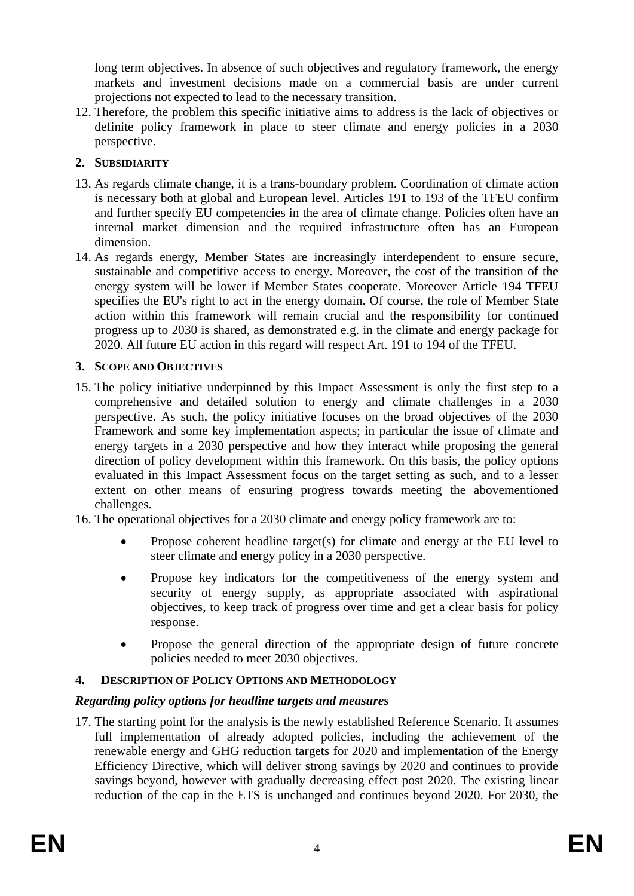long term objectives. In absence of such objectives and regulatory framework, the energy markets and investment decisions made on a commercial basis are under current projections not expected to lead to the necessary transition.

12. Therefore, the problem this specific initiative aims to address is the lack of objectives or definite policy framework in place to steer climate and energy policies in a 2030 perspective.

## **2. SUBSIDIARITY**

- 13. As regards climate change, it is a trans-boundary problem. Coordination of climate action is necessary both at global and European level. Articles 191 to 193 of the TFEU confirm and further specify EU competencies in the area of climate change. Policies often have an internal market dimension and the required infrastructure often has an European dimension.
- 14. As regards energy, Member States are increasingly interdependent to ensure secure, sustainable and competitive access to energy. Moreover, the cost of the transition of the energy system will be lower if Member States cooperate. Moreover Article 194 TFEU specifies the EU's right to act in the energy domain. Of course, the role of Member State action within this framework will remain crucial and the responsibility for continued progress up to 2030 is shared, as demonstrated e.g. in the climate and energy package for 2020. All future EU action in this regard will respect Art. 191 to 194 of the TFEU.

### **3. SCOPE AND OBJECTIVES**

- 15. The policy initiative underpinned by this Impact Assessment is only the first step to a comprehensive and detailed solution to energy and climate challenges in a 2030 perspective. As such, the policy initiative focuses on the broad objectives of the 2030 Framework and some key implementation aspects; in particular the issue of climate and energy targets in a 2030 perspective and how they interact while proposing the general direction of policy development within this framework. On this basis, the policy options evaluated in this Impact Assessment focus on the target setting as such, and to a lesser extent on other means of ensuring progress towards meeting the abovementioned challenges.
- 16. The operational objectives for a 2030 climate and energy policy framework are to:
	- Propose coherent headline target(s) for climate and energy at the EU level to steer climate and energy policy in a 2030 perspective.
	- Propose key indicators for the competitiveness of the energy system and security of energy supply, as appropriate associated with aspirational objectives, to keep track of progress over time and get a clear basis for policy response.
	- Propose the general direction of the appropriate design of future concrete policies needed to meet 2030 objectives.

# **4. DESCRIPTION OF POLICY OPTIONS AND METHODOLOGY**

### *Regarding policy options for headline targets and measures*

17. The starting point for the analysis is the newly established Reference Scenario. It assumes full implementation of already adopted policies, including the achievement of the renewable energy and GHG reduction targets for 2020 and implementation of the Energy Efficiency Directive, which will deliver strong savings by 2020 and continues to provide savings beyond, however with gradually decreasing effect post 2020. The existing linear reduction of the cap in the ETS is unchanged and continues beyond 2020. For 2030, the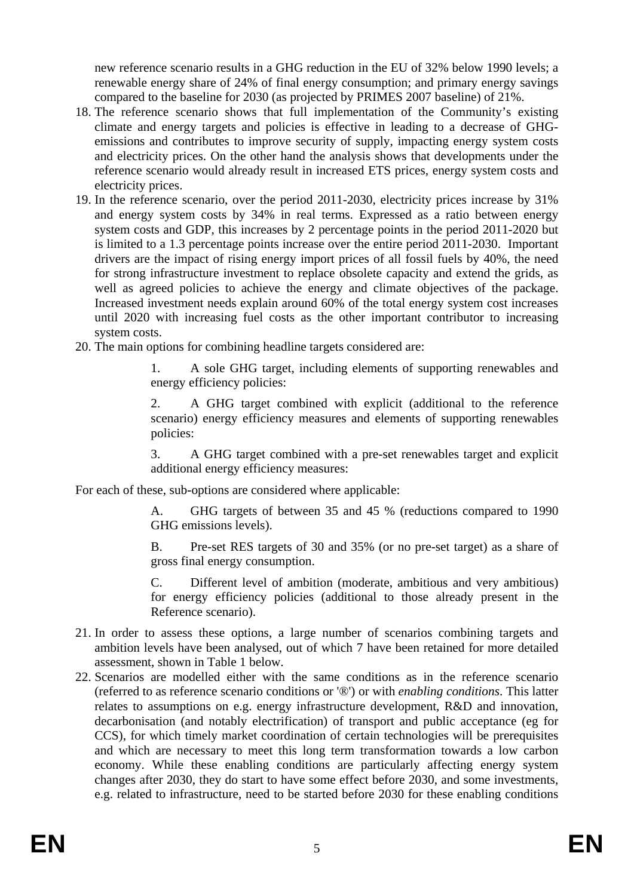new reference scenario results in a GHG reduction in the EU of 32% below 1990 levels; a renewable energy share of 24% of final energy consumption; and primary energy savings compared to the baseline for 2030 (as projected by PRIMES 2007 baseline) of 21%.

- 18. The reference scenario shows that full implementation of the Community's existing climate and energy targets and policies is effective in leading to a decrease of GHGemissions and contributes to improve security of supply, impacting energy system costs and electricity prices. On the other hand the analysis shows that developments under the reference scenario would already result in increased ETS prices, energy system costs and electricity prices.
- 19. In the reference scenario, over the period 2011-2030, electricity prices increase by 31% and energy system costs by 34% in real terms. Expressed as a ratio between energy system costs and GDP, this increases by 2 percentage points in the period 2011-2020 but is limited to a 1.3 percentage points increase over the entire period 2011-2030. Important drivers are the impact of rising energy import prices of all fossil fuels by 40%, the need for strong infrastructure investment to replace obsolete capacity and extend the grids, as well as agreed policies to achieve the energy and climate objectives of the package. Increased investment needs explain around 60% of the total energy system cost increases until 2020 with increasing fuel costs as the other important contributor to increasing system costs.
- 20. The main options for combining headline targets considered are:

1. A sole GHG target, including elements of supporting renewables and energy efficiency policies:

2. A GHG target combined with explicit (additional to the reference scenario) energy efficiency measures and elements of supporting renewables policies:

3. A GHG target combined with a pre-set renewables target and explicit additional energy efficiency measures:

For each of these, sub-options are considered where applicable:

A. GHG targets of between 35 and 45 % (reductions compared to 1990 GHG emissions levels).

B. Pre-set RES targets of 30 and 35% (or no pre-set target) as a share of gross final energy consumption.

C. Different level of ambition (moderate, ambitious and very ambitious) for energy efficiency policies (additional to those already present in the Reference scenario).

- 21. In order to assess these options, a large number of scenarios combining targets and ambition levels have been analysed, out of which 7 have been retained for more detailed assessment, shown in [Table 1 b](#page-5-0)elow.
- 22. Scenarios are modelled either with the same conditions as in the reference scenario (referred to as reference scenario conditions or '®') or with *enabling conditions*. This latter relates to assumptions on e.g. energy infrastructure development, R&D and innovation, decarbonisation (and notably electrification) of transport and public acceptance (eg for CCS), for which timely market coordination of certain technologies will be prerequisites and which are necessary to meet this long term transformation towards a low carbon economy. While these enabling conditions are particularly affecting energy system changes after 2030, they do start to have some effect before 2030, and some investments, e.g. related to infrastructure, need to be started before 2030 for these enabling conditions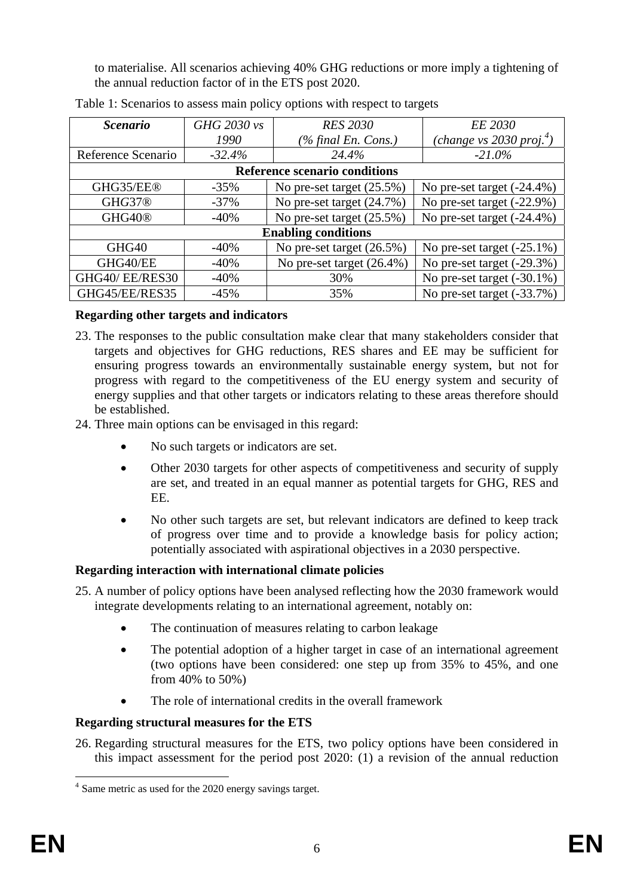to materialise. All scenarios achieving 40% GHG reductions or more imply a tightening of the annual reduction factor of in the ETS post 2020.

| <i>Scenario</i>               | GHG 2030 vs | <b>RES 2030</b>              | <i>EE 2030</i>                         |  |  |  |  |  |  |
|-------------------------------|-------------|------------------------------|----------------------------------------|--|--|--|--|--|--|
|                               | 1990        | $(\%$ final En. Cons.)       | (change vs $2030$ proj. <sup>4</sup> ) |  |  |  |  |  |  |
| Reference Scenario            | $-32.4%$    | 24.4%                        | $-21.0\%$                              |  |  |  |  |  |  |
| Reference scenario conditions |             |                              |                                        |  |  |  |  |  |  |
| GHG35/EE®                     | $-35%$      | No pre-set target $(25.5\%)$ | No pre-set target $(-24.4\%)$          |  |  |  |  |  |  |
| GHG37®                        | $-37\%$     | No pre-set target (24.7%)    | No pre-set target (-22.9%)             |  |  |  |  |  |  |
| GHG40 <sup>®</sup>            | $-40%$      | No pre-set target (25.5%)    | No pre-set target $(-24.4\%)$          |  |  |  |  |  |  |
| <b>Enabling conditions</b>    |             |                              |                                        |  |  |  |  |  |  |
| GHG <sub>40</sub>             | $-40%$      | No pre-set target $(26.5\%)$ | No pre-set target $(-25.1\%)$          |  |  |  |  |  |  |
| GHG40/EE                      | $-40%$      | No pre-set target (26.4%)    | No pre-set target (-29.3%)             |  |  |  |  |  |  |
| GHG40/EE/RES30                | $-40%$      | 30%                          | No pre-set target $(-30.1\%)$          |  |  |  |  |  |  |
| GHG45/EE/RES35                | $-45%$      | 35%                          | No pre-set target (-33.7%)             |  |  |  |  |  |  |

<span id="page-5-0"></span>

|  | Table 1: Scenarios to assess main policy options with respect to targets |  |  |  |  |
|--|--------------------------------------------------------------------------|--|--|--|--|
|  |                                                                          |  |  |  |  |

### **Regarding other targets and indicators**

- 23. The responses to the public consultation make clear that many stakeholders consider that targets and objectives for GHG reductions, RES shares and EE may be sufficient for ensuring progress towards an environmentally sustainable energy system, but not for progress with regard to the competitiveness of the EU energy system and security of energy supplies and that other targets or indicators relating to these areas therefore should be established.
- 24. Three main options can be envisaged in this regard:
	- No such targets or indicators are set.
	- Other 2030 targets for other aspects of competitiveness and security of supply are set, and treated in an equal manner as potential targets for GHG, RES and EE.
	- No other such targets are set, but relevant indicators are defined to keep track of progress over time and to provide a knowledge basis for policy action; potentially associated with aspirational objectives in a 2030 perspective.

# **Regarding interaction with international climate policies**

25. A number of policy options have been analysed reflecting how the 2030 framework would integrate developments relating to an international agreement, notably on:

- The continuation of measures relating to carbon leakage
- The potential adoption of a higher target in case of an international agreement (two options have been considered: one step up from 35% to 45%, and one from 40% to 50%)
- The role of international credits in the overall framework

# **Regarding structural measures for the ETS**

26. Regarding structural measures for the ETS, two policy options have been considered in this impact assessment for the period post 2020: (1) a revision of the annual reduction

<sup>&</sup>lt;u>.</u> <sup>4</sup> Same metric as used for the 2020 energy savings target.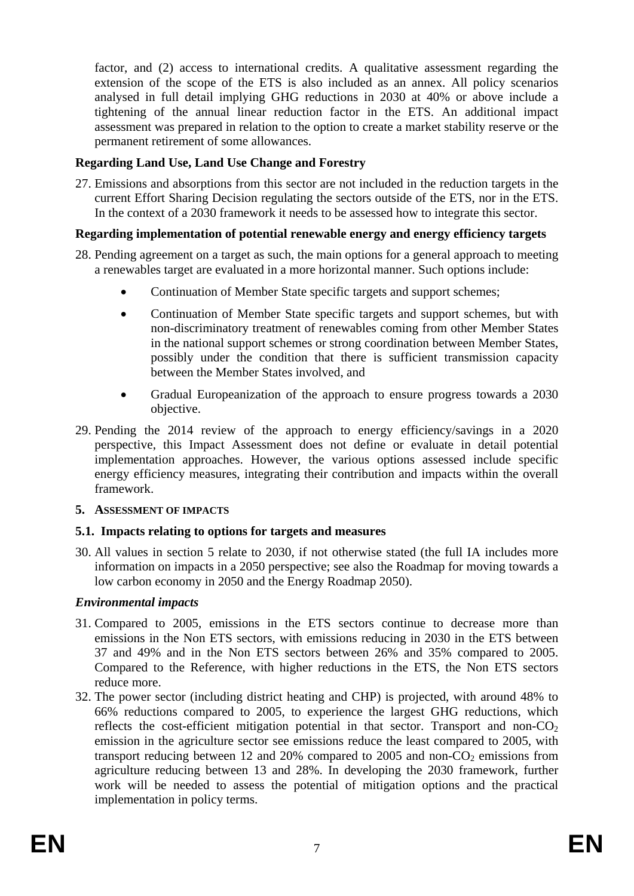factor, and (2) access to international credits. A qualitative assessment regarding the extension of the scope of the ETS is also included as an annex. All policy scenarios analysed in full detail implying GHG reductions in 2030 at 40% or above include a tightening of the annual linear reduction factor in the ETS. An additional impact assessment was prepared in relation to the option to create a market stability reserve or the permanent retirement of some allowances.

### **Regarding Land Use, Land Use Change and Forestry**

27. Emissions and absorptions from this sector are not included in the reduction targets in the current Effort Sharing Decision regulating the sectors outside of the ETS, nor in the ETS. In the context of a 2030 framework it needs to be assessed how to integrate this sector.

### **Regarding implementation of potential renewable energy and energy efficiency targets**

- 28. Pending agreement on a target as such, the main options for a general approach to meeting a renewables target are evaluated in a more horizontal manner. Such options include:
	- Continuation of Member State specific targets and support schemes;
	- Continuation of Member State specific targets and support schemes, but with non-discriminatory treatment of renewables coming from other Member States in the national support schemes or strong coordination between Member States, possibly under the condition that there is sufficient transmission capacity between the Member States involved, and
	- Gradual Europeanization of the approach to ensure progress towards a 2030 objective.
- 29. Pending the 2014 review of the approach to energy efficiency/savings in a 2020 perspective, this Impact Assessment does not define or evaluate in detail potential implementation approaches. However, the various options assessed include specific energy efficiency measures, integrating their contribution and impacts within the overall framework.

### **5. ASSESSMENT OF IMPACTS**

### **5.1. Impacts relating to options for targets and measures**

30. All values in section 5 relate to 2030, if not otherwise stated (the full IA includes more information on impacts in a 2050 perspective; see also the Roadmap for moving towards a low carbon economy in 2050 and the Energy Roadmap 2050).

### *Environmental impacts*

- 31. Compared to 2005, emissions in the ETS sectors continue to decrease more than emissions in the Non ETS sectors, with emissions reducing in 2030 in the ETS between 37 and 49% and in the Non ETS sectors between 26% and 35% compared to 2005. Compared to the Reference, with higher reductions in the ETS, the Non ETS sectors reduce more.
- 32. The power sector (including district heating and CHP) is projected, with around 48% to 66% reductions compared to 2005, to experience the largest GHG reductions, which reflects the cost-efficient mitigation potential in that sector. Transport and non- $CO<sub>2</sub>$ emission in the agriculture sector see emissions reduce the least compared to 2005, with transport reducing between 12 and 20% compared to 2005 and non- $CO<sub>2</sub>$  emissions from agriculture reducing between 13 and 28%. In developing the 2030 framework, further work will be needed to assess the potential of mitigation options and the practical implementation in policy terms.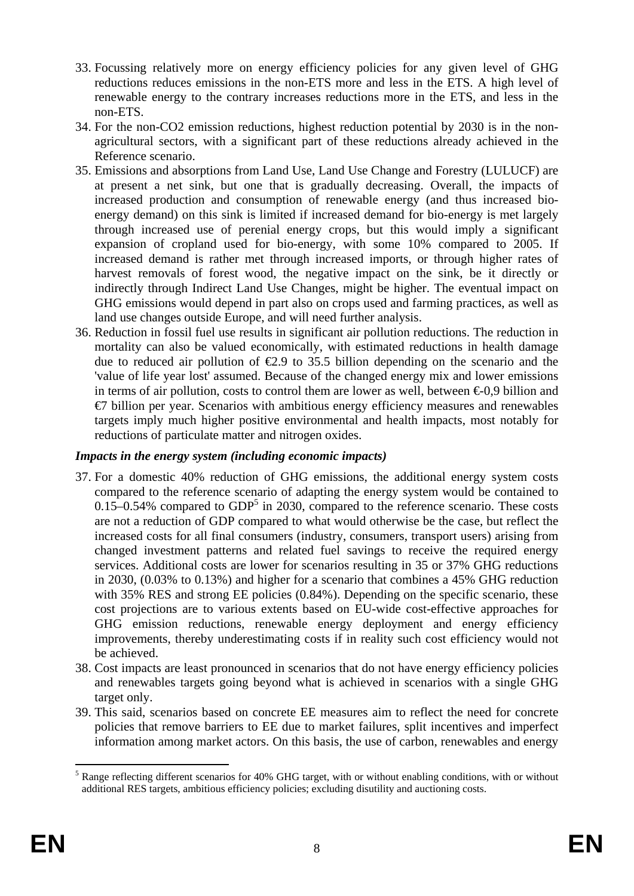- 33. Focussing relatively more on energy efficiency policies for any given level of GHG reductions reduces emissions in the non-ETS more and less in the ETS. A high level of renewable energy to the contrary increases reductions more in the ETS, and less in the non-ETS.
- 34. For the non-CO2 emission reductions, highest reduction potential by 2030 is in the nonagricultural sectors, with a significant part of these reductions already achieved in the Reference scenario.
- 35. Emissions and absorptions from Land Use, Land Use Change and Forestry (LULUCF) are at present a net sink, but one that is gradually decreasing. Overall, the impacts of increased production and consumption of renewable energy (and thus increased bioenergy demand) on this sink is limited if increased demand for bio-energy is met largely through increased use of perenial energy crops, but this would imply a significant expansion of cropland used for bio-energy, with some 10% compared to 2005. If increased demand is rather met through increased imports, or through higher rates of harvest removals of forest wood, the negative impact on the sink, be it directly or indirectly through Indirect Land Use Changes, might be higher. The eventual impact on GHG emissions would depend in part also on crops used and farming practices, as well as land use changes outside Europe, and will need further analysis.
- 36. Reduction in fossil fuel use results in significant air pollution reductions. The reduction in mortality can also be valued economically, with estimated reductions in health damage due to reduced air pollution of  $\epsilon$ 2.9 to 35.5 billion depending on the scenario and the 'value of life year lost' assumed. Because of the changed energy mix and lower emissions in terms of air pollution, costs to control them are lower as well, between  $\epsilon 0.9$  billion and  $E$ <sup>1</sup> billion per year. Scenarios with ambitious energy efficiency measures and renewables targets imply much higher positive environmental and health impacts, most notably for reductions of particulate matter and nitrogen oxides.

### *Impacts in the energy system (including economic impacts)*

- 37. For a domestic 40% reduction of GHG emissions, the additional energy system costs compared to the reference scenario of adapting the energy system would be contained to  $0.15-0.54\%$  compared to GDP<sup>5</sup> in 2030, compared to the reference scenario. These costs are not a reduction of GDP compared to what would otherwise be the case, but reflect the increased costs for all final consumers (industry, consumers, transport users) arising from changed investment patterns and related fuel savings to receive the required energy services. Additional costs are lower for scenarios resulting in 35 or 37% GHG reductions in 2030, (0.03% to 0.13%) and higher for a scenario that combines a 45% GHG reduction with 35% RES and strong EE policies (0.84%). Depending on the specific scenario, these cost projections are to various extents based on EU-wide cost-effective approaches for GHG emission reductions, renewable energy deployment and energy efficiency improvements, thereby underestimating costs if in reality such cost efficiency would not be achieved.
- 38. Cost impacts are least pronounced in scenarios that do not have energy efficiency policies and renewables targets going beyond what is achieved in scenarios with a single GHG target only.
- 39. This said, scenarios based on concrete EE measures aim to reflect the need for concrete policies that remove barriers to EE due to market failures, split incentives and imperfect information among market actors. On this basis, the use of carbon, renewables and energy

<sup>1</sup> <sup>5</sup> Range reflecting different scenarios for 40% GHG target, with or without enabling conditions, with or without additional RES targets, ambitious efficiency policies; excluding disutility and auctioning costs.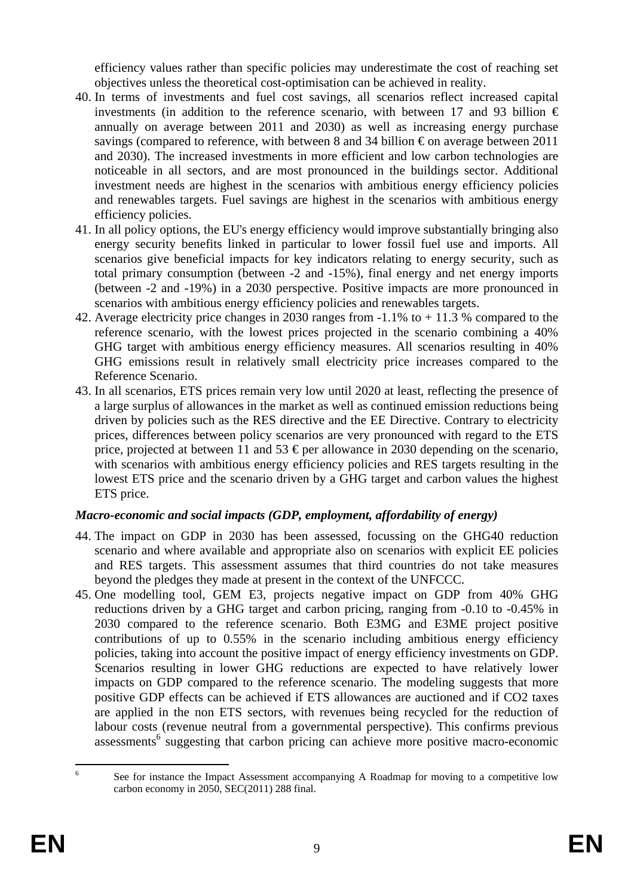efficiency values rather than specific policies may underestimate the cost of reaching set objectives unless the theoretical cost-optimisation can be achieved in reality.

- 40. In terms of investments and fuel cost savings, all scenarios reflect increased capital investments (in addition to the reference scenario, with between 17 and 93 billion  $\epsilon$ annually on average between 2011 and 2030) as well as increasing energy purchase savings (compared to reference, with between 8 and 34 billion  $\epsilon$  on average between 2011 and 2030). The increased investments in more efficient and low carbon technologies are noticeable in all sectors, and are most pronounced in the buildings sector. Additional investment needs are highest in the scenarios with ambitious energy efficiency policies and renewables targets. Fuel savings are highest in the scenarios with ambitious energy efficiency policies.
- 41. In all policy options, the EU's energy efficiency would improve substantially bringing also energy security benefits linked in particular to lower fossil fuel use and imports. All scenarios give beneficial impacts for key indicators relating to energy security, such as total primary consumption (between -2 and -15%), final energy and net energy imports (between -2 and -19%) in a 2030 perspective. Positive impacts are more pronounced in scenarios with ambitious energy efficiency policies and renewables targets.
- 42. Average electricity price changes in 2030 ranges from -1.1% to + 11.3 % compared to the reference scenario, with the lowest prices projected in the scenario combining a 40% GHG target with ambitious energy efficiency measures. All scenarios resulting in 40% GHG emissions result in relatively small electricity price increases compared to the Reference Scenario.
- 43. In all scenarios, ETS prices remain very low until 2020 at least, reflecting the presence of a large surplus of allowances in the market as well as continued emission reductions being driven by policies such as the RES directive and the EE Directive. Contrary to electricity prices, differences between policy scenarios are very pronounced with regard to the ETS price, projected at between 11 and 53  $\epsilon$  per allowance in 2030 depending on the scenario, with scenarios with ambitious energy efficiency policies and RES targets resulting in the lowest ETS price and the scenario driven by a GHG target and carbon values the highest ETS price.

### *Macro-economic and social impacts (GDP, employment, affordability of energy)*

- 44. The impact on GDP in 2030 has been assessed, focussing on the GHG40 reduction scenario and where available and appropriate also on scenarios with explicit EE policies and RES targets. This assessment assumes that third countries do not take measures beyond the pledges they made at present in the context of the UNFCCC.
- 45. One modelling tool, GEM E3, projects negative impact on GDP from 40% GHG reductions driven by a GHG target and carbon pricing, ranging from -0.10 to -0.45% in 2030 compared to the reference scenario. Both E3MG and E3ME project positive contributions of up to 0.55% in the scenario including ambitious energy efficiency policies, taking into account the positive impact of energy efficiency investments on GDP. Scenarios resulting in lower GHG reductions are expected to have relatively lower impacts on GDP compared to the reference scenario. The modeling suggests that more positive GDP effects can be achieved if ETS allowances are auctioned and if CO2 taxes are applied in the non ETS sectors, with revenues being recycled for the reduction of labour costs (revenue neutral from a governmental perspective). This confirms previous assessments<sup>6</sup> suggesting that carbon pricing can achieve more positive macro-economic

 $\frac{1}{6}$ 

See for instance the Impact Assessment accompanying A Roadmap for moving to a competitive low carbon economy in 2050, SEC(2011) 288 final.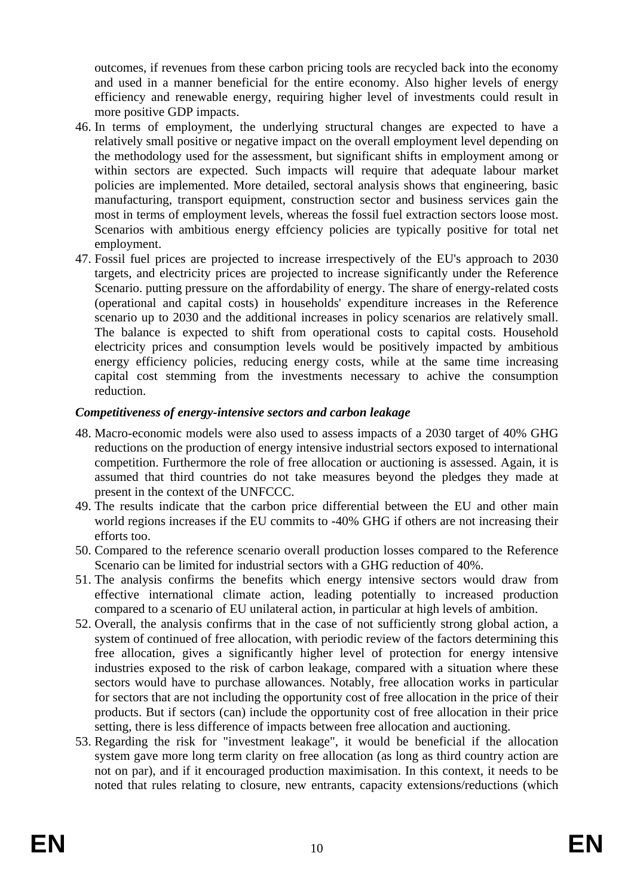outcomes, if revenues from these carbon pricing tools are recycled back into the economy and used in a manner beneficial for the entire economy. Also higher levels of energy efficiency and renewable energy, requiring higher level of investments could result in more positive GDP impacts.

- 46. In terms of employment, the underlying structural changes are expected to have a relatively small positive or negative impact on the overall employment level depending on the methodology used for the assessment, but significant shifts in employment among or within sectors are expected. Such impacts will require that adequate labour market policies are implemented. More detailed, sectoral analysis shows that engineering, basic manufacturing, transport equipment, construction sector and business services gain the most in terms of employment levels, whereas the fossil fuel extraction sectors loose most. Scenarios with ambitious energy effciency policies are typically positive for total net employment.
- 47. Fossil fuel prices are projected to increase irrespectively of the EU's approach to 2030 targets, and electricity prices are projected to increase significantly under the Reference Scenario. putting pressure on the affordability of energy. The share of energy-related costs (operational and capital costs) in households' expenditure increases in the Reference scenario up to 2030 and the additional increases in policy scenarios are relatively small. The balance is expected to shift from operational costs to capital costs. Household electricity prices and consumption levels would be positively impacted by ambitious energy efficiency policies, reducing energy costs, while at the same time increasing capital cost stemming from the investments necessary to achive the consumption reduction.

### *Competitiveness of energy-intensive sectors and carbon leakage*

- 48. Macro-economic models were also used to assess impacts of a 2030 target of 40% GHG reductions on the production of energy intensive industrial sectors exposed to international competition. Furthermore the role of free allocation or auctioning is assessed. Again, it is assumed that third countries do not take measures beyond the pledges they made at present in the context of the UNFCCC.
- 49. The results indicate that the carbon price differential between the EU and other main world regions increases if the EU commits to -40% GHG if others are not increasing their efforts too.
- 50. Compared to the reference scenario overall production losses compared to the Reference Scenario can be limited for industrial sectors with a GHG reduction of 40%.
- 51. The analysis confirms the benefits which energy intensive sectors would draw from effective international climate action, leading potentially to increased production compared to a scenario of EU unilateral action, in particular at high levels of ambition.
- 52. Overall, the analysis confirms that in the case of not sufficiently strong global action, a system of continued of free allocation, with periodic review of the factors determining this free allocation, gives a significantly higher level of protection for energy intensive industries exposed to the risk of carbon leakage, compared with a situation where these sectors would have to purchase allowances. Notably, free allocation works in particular for sectors that are not including the opportunity cost of free allocation in the price of their products. But if sectors (can) include the opportunity cost of free allocation in their price setting, there is less difference of impacts between free allocation and auctioning.
- 53. Regarding the risk for "investment leakage", it would be beneficial if the allocation system gave more long term clarity on free allocation (as long as third country action are not on par), and if it encouraged production maximisation. In this context, it needs to be noted that rules relating to closure, new entrants, capacity extensions/reductions (which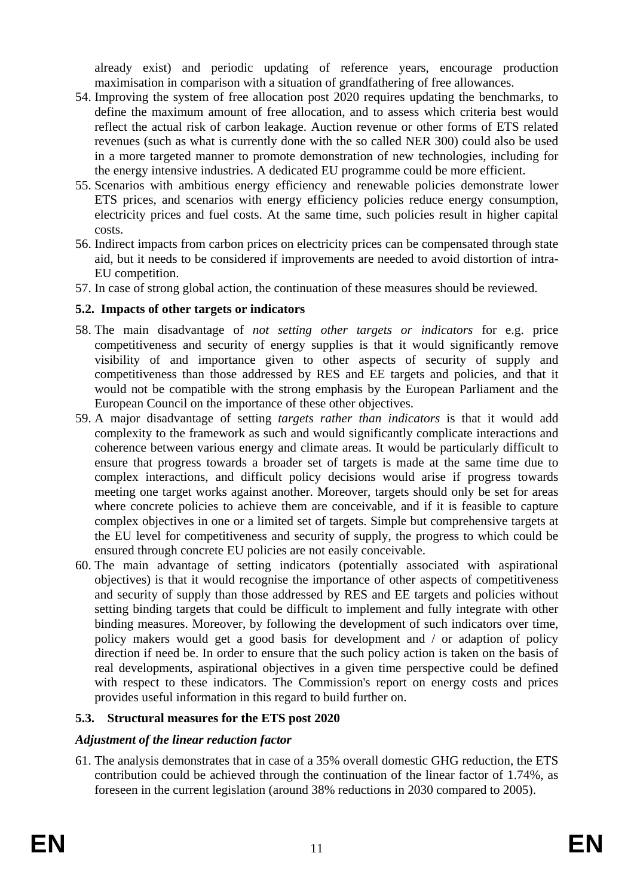already exist) and periodic updating of reference years, encourage production maximisation in comparison with a situation of grandfathering of free allowances.

- 54. Improving the system of free allocation post 2020 requires updating the benchmarks, to define the maximum amount of free allocation, and to assess which criteria best would reflect the actual risk of carbon leakage. Auction revenue or other forms of ETS related revenues (such as what is currently done with the so called NER 300) could also be used in a more targeted manner to promote demonstration of new technologies, including for the energy intensive industries. A dedicated EU programme could be more efficient.
- 55. Scenarios with ambitious energy efficiency and renewable policies demonstrate lower ETS prices, and scenarios with energy efficiency policies reduce energy consumption, electricity prices and fuel costs. At the same time, such policies result in higher capital costs.
- 56. Indirect impacts from carbon prices on electricity prices can be compensated through state aid, but it needs to be considered if improvements are needed to avoid distortion of intra-EU competition.
- 57. In case of strong global action, the continuation of these measures should be reviewed.

### **5.2. Impacts of other targets or indicators**

- 58. The main disadvantage of *not setting other targets or indicators* for e.g. price competitiveness and security of energy supplies is that it would significantly remove visibility of and importance given to other aspects of security of supply and competitiveness than those addressed by RES and EE targets and policies, and that it would not be compatible with the strong emphasis by the European Parliament and the European Council on the importance of these other objectives.
- 59. A major disadvantage of setting *targets rather than indicators* is that it would add complexity to the framework as such and would significantly complicate interactions and coherence between various energy and climate areas. It would be particularly difficult to ensure that progress towards a broader set of targets is made at the same time due to complex interactions, and difficult policy decisions would arise if progress towards meeting one target works against another. Moreover, targets should only be set for areas where concrete policies to achieve them are conceivable, and if it is feasible to capture complex objectives in one or a limited set of targets. Simple but comprehensive targets at the EU level for competitiveness and security of supply, the progress to which could be ensured through concrete EU policies are not easily conceivable.
- 60. The main advantage of setting indicators (potentially associated with aspirational objectives) is that it would recognise the importance of other aspects of competitiveness and security of supply than those addressed by RES and EE targets and policies without setting binding targets that could be difficult to implement and fully integrate with other binding measures. Moreover, by following the development of such indicators over time, policy makers would get a good basis for development and / or adaption of policy direction if need be. In order to ensure that the such policy action is taken on the basis of real developments, aspirational objectives in a given time perspective could be defined with respect to these indicators. The Commission's report on energy costs and prices provides useful information in this regard to build further on.

# **5.3. Structural measures for the ETS post 2020**

### *Adjustment of the linear reduction factor*

61. The analysis demonstrates that in case of a 35% overall domestic GHG reduction, the ETS contribution could be achieved through the continuation of the linear factor of 1.74%, as foreseen in the current legislation (around 38% reductions in 2030 compared to 2005).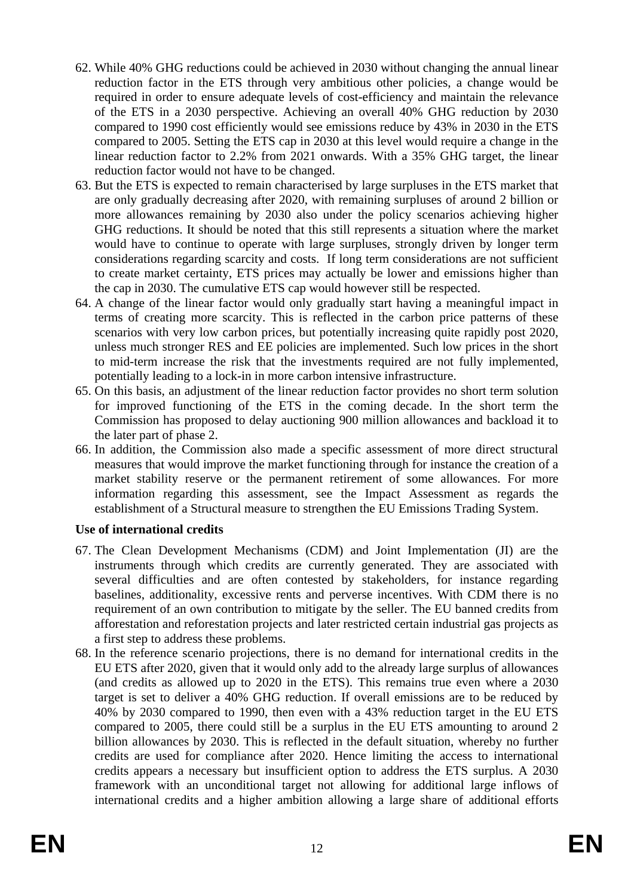- 62. While 40% GHG reductions could be achieved in 2030 without changing the annual linear reduction factor in the ETS through very ambitious other policies, a change would be required in order to ensure adequate levels of cost-efficiency and maintain the relevance of the ETS in a 2030 perspective. Achieving an overall 40% GHG reduction by 2030 compared to 1990 cost efficiently would see emissions reduce by 43% in 2030 in the ETS compared to 2005. Setting the ETS cap in 2030 at this level would require a change in the linear reduction factor to 2.2% from 2021 onwards. With a 35% GHG target, the linear reduction factor would not have to be changed.
- 63. But the ETS is expected to remain characterised by large surpluses in the ETS market that are only gradually decreasing after 2020, with remaining surpluses of around 2 billion or more allowances remaining by 2030 also under the policy scenarios achieving higher GHG reductions. It should be noted that this still represents a situation where the market would have to continue to operate with large surpluses, strongly driven by longer term considerations regarding scarcity and costs. If long term considerations are not sufficient to create market certainty, ETS prices may actually be lower and emissions higher than the cap in 2030. The cumulative ETS cap would however still be respected.
- 64. A change of the linear factor would only gradually start having a meaningful impact in terms of creating more scarcity. This is reflected in the carbon price patterns of these scenarios with very low carbon prices, but potentially increasing quite rapidly post 2020, unless much stronger RES and EE policies are implemented. Such low prices in the short to mid-term increase the risk that the investments required are not fully implemented, potentially leading to a lock-in in more carbon intensive infrastructure.
- 65. On this basis, an adjustment of the linear reduction factor provides no short term solution for improved functioning of the ETS in the coming decade. In the short term the Commission has proposed to delay auctioning 900 million allowances and backload it to the later part of phase 2.
- 66. In addition, the Commission also made a specific assessment of more direct structural measures that would improve the market functioning through for instance the creation of a market stability reserve or the permanent retirement of some allowances. For more information regarding this assessment, see the Impact Assessment as regards the establishment of a Structural measure to strengthen the EU Emissions Trading System.

### **Use of international credits**

- 67. The Clean Development Mechanisms (CDM) and Joint Implementation (JI) are the instruments through which credits are currently generated. They are associated with several difficulties and are often contested by stakeholders, for instance regarding baselines, additionality, excessive rents and perverse incentives. With CDM there is no requirement of an own contribution to mitigate by the seller. The EU banned credits from afforestation and reforestation projects and later restricted certain industrial gas projects as a first step to address these problems.
- 68. In the reference scenario projections, there is no demand for international credits in the EU ETS after 2020, given that it would only add to the already large surplus of allowances (and credits as allowed up to 2020 in the ETS). This remains true even where a 2030 target is set to deliver a 40% GHG reduction. If overall emissions are to be reduced by 40% by 2030 compared to 1990, then even with a 43% reduction target in the EU ETS compared to 2005, there could still be a surplus in the EU ETS amounting to around 2 billion allowances by 2030. This is reflected in the default situation, whereby no further credits are used for compliance after 2020. Hence limiting the access to international credits appears a necessary but insufficient option to address the ETS surplus. A 2030 framework with an unconditional target not allowing for additional large inflows of international credits and a higher ambition allowing a large share of additional efforts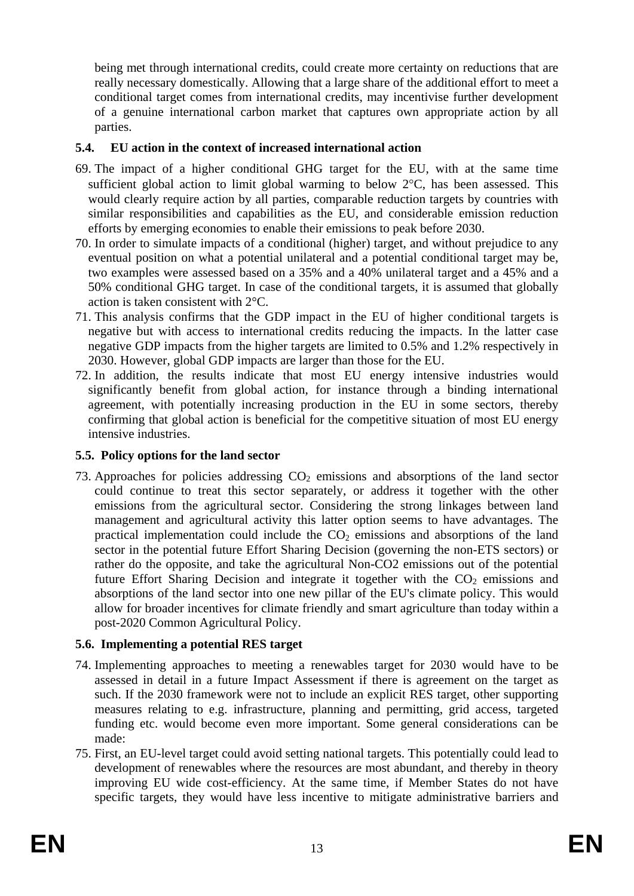being met through international credits, could create more certainty on reductions that are really necessary domestically. Allowing that a large share of the additional effort to meet a conditional target comes from international credits, may incentivise further development of a genuine international carbon market that captures own appropriate action by all parties.

### **5.4. EU action in the context of increased international action**

- 69. The impact of a higher conditional GHG target for the EU, with at the same time sufficient global action to limit global warming to below 2°C, has been assessed. This would clearly require action by all parties, comparable reduction targets by countries with similar responsibilities and capabilities as the EU, and considerable emission reduction efforts by emerging economies to enable their emissions to peak before 2030.
- 70. In order to simulate impacts of a conditional (higher) target, and without prejudice to any eventual position on what a potential unilateral and a potential conditional target may be, two examples were assessed based on a 35% and a 40% unilateral target and a 45% and a 50% conditional GHG target. In case of the conditional targets, it is assumed that globally action is taken consistent with 2°C.
- 71. This analysis confirms that the GDP impact in the EU of higher conditional targets is negative but with access to international credits reducing the impacts. In the latter case negative GDP impacts from the higher targets are limited to 0.5% and 1.2% respectively in 2030. However, global GDP impacts are larger than those for the EU.
- 72. In addition, the results indicate that most EU energy intensive industries would significantly benefit from global action, for instance through a binding international agreement, with potentially increasing production in the EU in some sectors, thereby confirming that global action is beneficial for the competitive situation of most EU energy intensive industries.

### **5.5. Policy options for the land sector**

73. Approaches for policies addressing  $CO<sub>2</sub>$  emissions and absorptions of the land sector could continue to treat this sector separately, or address it together with the other emissions from the agricultural sector. Considering the strong linkages between land management and agricultural activity this latter option seems to have advantages. The practical implementation could include the  $CO<sub>2</sub>$  emissions and absorptions of the land sector in the potential future Effort Sharing Decision (governing the non-ETS sectors) or rather do the opposite, and take the agricultural Non-CO2 emissions out of the potential future Effort Sharing Decision and integrate it together with the  $CO<sub>2</sub>$  emissions and absorptions of the land sector into one new pillar of the EU's climate policy. This would allow for broader incentives for climate friendly and smart agriculture than today within a post-2020 Common Agricultural Policy.

### **5.6. Implementing a potential RES target**

- 74. Implementing approaches to meeting a renewables target for 2030 would have to be assessed in detail in a future Impact Assessment if there is agreement on the target as such. If the 2030 framework were not to include an explicit RES target, other supporting measures relating to e.g. infrastructure, planning and permitting, grid access, targeted funding etc. would become even more important. Some general considerations can be made:
- 75. First, an EU-level target could avoid setting national targets. This potentially could lead to development of renewables where the resources are most abundant, and thereby in theory improving EU wide cost-efficiency. At the same time, if Member States do not have specific targets, they would have less incentive to mitigate administrative barriers and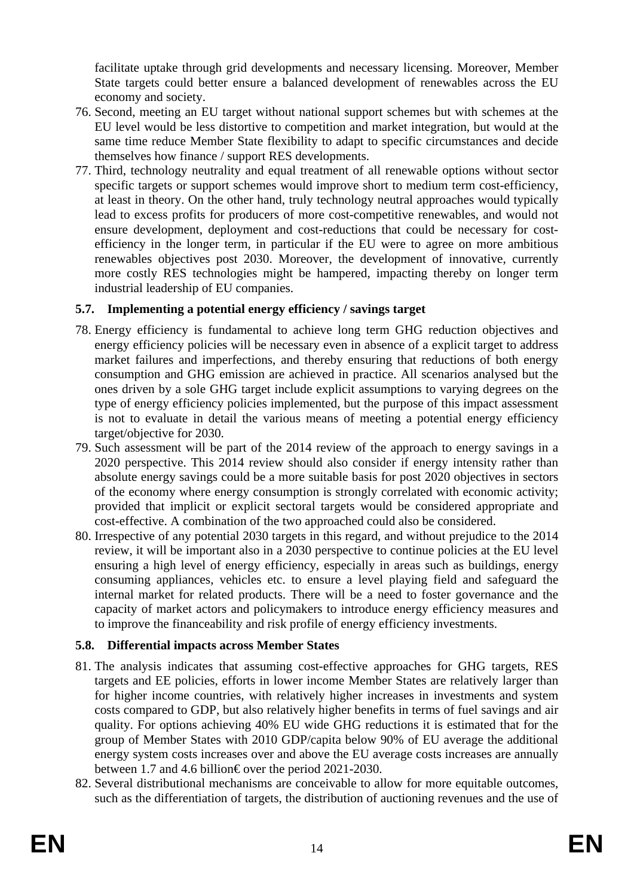facilitate uptake through grid developments and necessary licensing. Moreover, Member State targets could better ensure a balanced development of renewables across the EU economy and society.

- 76. Second, meeting an EU target without national support schemes but with schemes at the EU level would be less distortive to competition and market integration, but would at the same time reduce Member State flexibility to adapt to specific circumstances and decide themselves how finance / support RES developments.
- 77. Third, technology neutrality and equal treatment of all renewable options without sector specific targets or support schemes would improve short to medium term cost-efficiency, at least in theory. On the other hand, truly technology neutral approaches would typically lead to excess profits for producers of more cost-competitive renewables, and would not ensure development, deployment and cost-reductions that could be necessary for costefficiency in the longer term, in particular if the EU were to agree on more ambitious renewables objectives post 2030. Moreover, the development of innovative, currently more costly RES technologies might be hampered, impacting thereby on longer term industrial leadership of EU companies.

# **5.7. Implementing a potential energy efficiency / savings target**

- 78. Energy efficiency is fundamental to achieve long term GHG reduction objectives and energy efficiency policies will be necessary even in absence of a explicit target to address market failures and imperfections, and thereby ensuring that reductions of both energy consumption and GHG emission are achieved in practice. All scenarios analysed but the ones driven by a sole GHG target include explicit assumptions to varying degrees on the type of energy efficiency policies implemented, but the purpose of this impact assessment is not to evaluate in detail the various means of meeting a potential energy efficiency target/objective for 2030.
- 79. Such assessment will be part of the 2014 review of the approach to energy savings in a 2020 perspective. This 2014 review should also consider if energy intensity rather than absolute energy savings could be a more suitable basis for post 2020 objectives in sectors of the economy where energy consumption is strongly correlated with economic activity; provided that implicit or explicit sectoral targets would be considered appropriate and cost-effective. A combination of the two approached could also be considered.
- 80. Irrespective of any potential 2030 targets in this regard, and without prejudice to the 2014 review, it will be important also in a 2030 perspective to continue policies at the EU level ensuring a high level of energy efficiency, especially in areas such as buildings, energy consuming appliances, vehicles etc. to ensure a level playing field and safeguard the internal market for related products. There will be a need to foster governance and the capacity of market actors and policymakers to introduce energy efficiency measures and to improve the financeability and risk profile of energy efficiency investments.

# **5.8. Differential impacts across Member States**

- 81. The analysis indicates that assuming cost-effective approaches for GHG targets, RES targets and EE policies, efforts in lower income Member States are relatively larger than for higher income countries, with relatively higher increases in investments and system costs compared to GDP, but also relatively higher benefits in terms of fuel savings and air quality. For options achieving 40% EU wide GHG reductions it is estimated that for the group of Member States with 2010 GDP/capita below 90% of EU average the additional energy system costs increases over and above the EU average costs increases are annually between 1.7 and 4.6 billion€ over the period 2021-2030.
- 82. Several distributional mechanisms are conceivable to allow for more equitable outcomes, such as the differentiation of targets, the distribution of auctioning revenues and the use of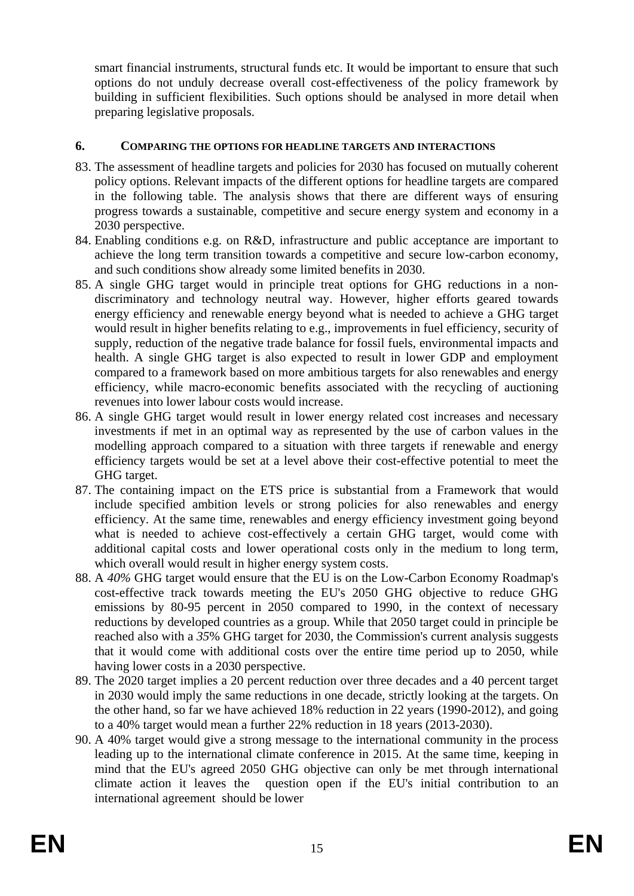smart financial instruments, structural funds etc. It would be important to ensure that such options do not unduly decrease overall cost-effectiveness of the policy framework by building in sufficient flexibilities. Such options should be analysed in more detail when preparing legislative proposals.

#### **6. COMPARING THE OPTIONS FOR HEADLINE TARGETS AND INTERACTIONS**

- 83. The assessment of headline targets and policies for 2030 has focused on mutually coherent policy options. Relevant impacts of the different options for headline targets are compared in the following table. The analysis shows that there are different ways of ensuring progress towards a sustainable, competitive and secure energy system and economy in a 2030 perspective.
- 84. Enabling conditions e.g. on R&D, infrastructure and public acceptance are important to achieve the long term transition towards a competitive and secure low-carbon economy, and such conditions show already some limited benefits in 2030.
- 85. A single GHG target would in principle treat options for GHG reductions in a nondiscriminatory and technology neutral way. However, higher efforts geared towards energy efficiency and renewable energy beyond what is needed to achieve a GHG target would result in higher benefits relating to e.g., improvements in fuel efficiency, security of supply, reduction of the negative trade balance for fossil fuels, environmental impacts and health. A single GHG target is also expected to result in lower GDP and employment compared to a framework based on more ambitious targets for also renewables and energy efficiency, while macro-economic benefits associated with the recycling of auctioning revenues into lower labour costs would increase.
- 86. A single GHG target would result in lower energy related cost increases and necessary investments if met in an optimal way as represented by the use of carbon values in the modelling approach compared to a situation with three targets if renewable and energy efficiency targets would be set at a level above their cost-effective potential to meet the GHG target.
- 87. The containing impact on the ETS price is substantial from a Framework that would include specified ambition levels or strong policies for also renewables and energy efficiency. At the same time, renewables and energy efficiency investment going beyond what is needed to achieve cost-effectively a certain GHG target, would come with additional capital costs and lower operational costs only in the medium to long term, which overall would result in higher energy system costs.
- 88. A *40%* GHG target would ensure that the EU is on the Low-Carbon Economy Roadmap's cost-effective track towards meeting the EU's 2050 GHG objective to reduce GHG emissions by 80-95 percent in 2050 compared to 1990, in the context of necessary reductions by developed countries as a group. While that 2050 target could in principle be reached also with a *35*% GHG target for 2030, the Commission's current analysis suggests that it would come with additional costs over the entire time period up to 2050, while having lower costs in a 2030 perspective.
- 89. The 2020 target implies a 20 percent reduction over three decades and a 40 percent target in 2030 would imply the same reductions in one decade, strictly looking at the targets. On the other hand, so far we have achieved 18% reduction in 22 years (1990-2012), and going to a 40% target would mean a further 22% reduction in 18 years (2013-2030).
- 90. A 40% target would give a strong message to the international community in the process leading up to the international climate conference in 2015. At the same time, keeping in mind that the EU's agreed 2050 GHG objective can only be met through international climate action it leaves the question open if the EU's initial contribution to an international agreement should be lower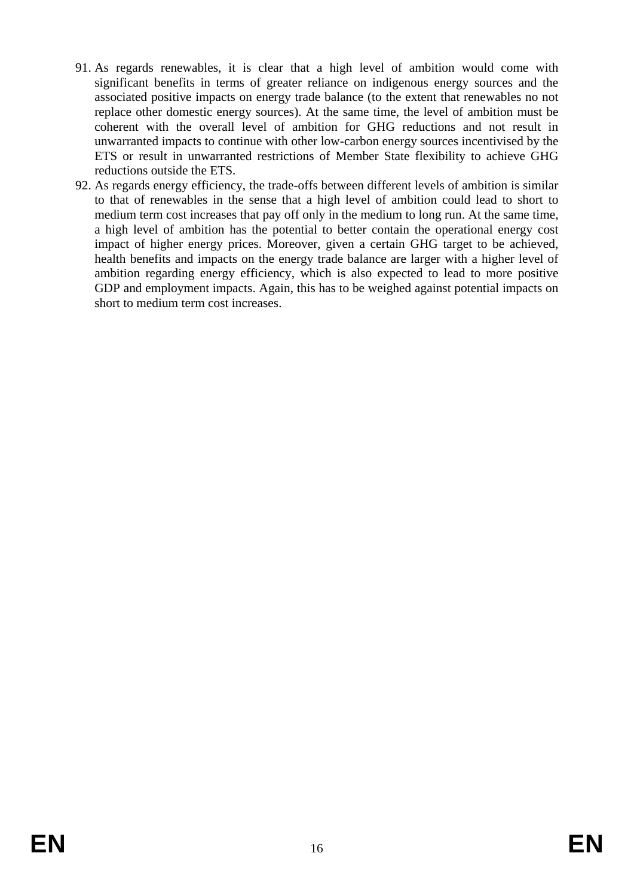- 91. As regards renewables, it is clear that a high level of ambition would come with significant benefits in terms of greater reliance on indigenous energy sources and the associated positive impacts on energy trade balance (to the extent that renewables no not replace other domestic energy sources). At the same time, the level of ambition must be coherent with the overall level of ambition for GHG reductions and not result in unwarranted impacts to continue with other low-carbon energy sources incentivised by the ETS or result in unwarranted restrictions of Member State flexibility to achieve GHG reductions outside the ETS.
- 92. As regards energy efficiency, the trade-offs between different levels of ambition is similar to that of renewables in the sense that a high level of ambition could lead to short to medium term cost increases that pay off only in the medium to long run. At the same time, a high level of ambition has the potential to better contain the operational energy cost impact of higher energy prices. Moreover, given a certain GHG target to be achieved, health benefits and impacts on the energy trade balance are larger with a higher level of ambition regarding energy efficiency, which is also expected to lead to more positive GDP and employment impacts. Again, this has to be weighed against potential impacts on short to medium term cost increases.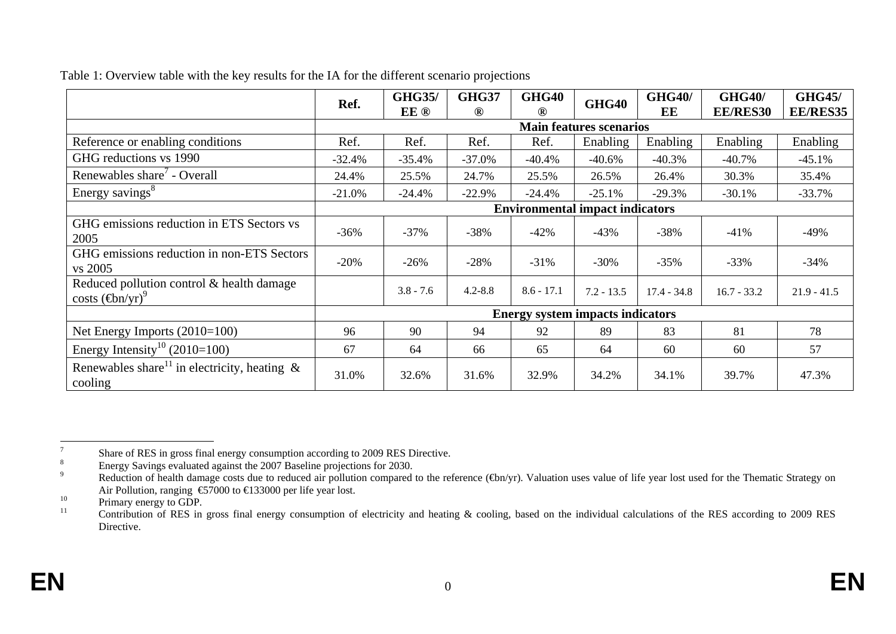|                                                                      | Ref.                                    | <b>GHG35/</b> | <b>GHG37</b>   | GHG40          | GHG40        | <b>GHG40/</b> | <b>GHG40/</b>   | <b>GHG45/</b>   |
|----------------------------------------------------------------------|-----------------------------------------|---------------|----------------|----------------|--------------|---------------|-----------------|-----------------|
|                                                                      |                                         | EE ®          | $^{\circledR}$ | $^{\circledR}$ |              | EE            | <b>EE/RES30</b> | <b>EE/RES35</b> |
|                                                                      | <b>Main features scenarios</b>          |               |                |                |              |               |                 |                 |
| Reference or enabling conditions                                     | Ref.                                    | Ref.          | Ref.           | Ref.           | Enabling     | Enabling      | Enabling        | Enabling        |
| GHG reductions vs 1990                                               | $-32.4%$                                | $-35.4%$      | $-37.0%$       | $-40.4%$       | $-40.6%$     | $-40.3%$      | $-40.7\%$       | $-45.1%$        |
| Renewables share - Overall                                           | 24.4%                                   | 25.5%         | 24.7%          | 25.5%          | 26.5%        | 26.4%         | 30.3%           | 35.4%           |
| Energy savings <sup>8</sup>                                          | $-21.0%$                                | $-24.4%$      | $-22.9%$       | $-24.4%$       | $-25.1%$     | $-29.3%$      | $-30.1%$        | $-33.7%$        |
|                                                                      | <b>Environmental impact indicators</b>  |               |                |                |              |               |                 |                 |
| GHG emissions reduction in ETS Sectors vs<br>2005                    | $-36%$                                  | $-37%$        | $-38%$         | $-42%$         | $-43%$       | $-38%$        | $-41%$          | -49%            |
| GHG emissions reduction in non-ETS Sectors<br>vs 2005                | $-20%$                                  | $-26%$        | $-28%$         | $-31%$         | $-30%$       | $-35%$        | $-33%$          | $-34%$          |
| Reduced pollution control & health damage<br>$costs (\oplus n/yr)^9$ |                                         | $3.8 - 7.6$   | $4.2 - 8.8$    | $8.6 - 17.1$   | $7.2 - 13.5$ | $17.4 - 34.8$ | $16.7 - 33.2$   | $21.9 - 41.5$   |
|                                                                      | <b>Energy system impacts indicators</b> |               |                |                |              |               |                 |                 |
| Net Energy Imports $(2010=100)$                                      | 96                                      | 90            | 94             | 92             | 89           | 83            | 81              | 78              |
| Energy Intensity <sup>10</sup> (2010=100)                            | 67                                      | 64            | 66             | 65             | 64           | 60            | 60              | 57              |
| Renewables share <sup>11</sup> in electricity, heating &<br>cooling  | 31.0%                                   | 32.6%         | 31.6%          | 32.9%          | 34.2%        | 34.1%         | 39.7%           | 47.3%           |

Table 1: Overview table with the key results for the IA for the different scenario projections

<sup>&</sup>lt;sup>7</sup><br>Share of RES in gross final energy consumption according to 2009 RES Directive.

<sup>&</sup>lt;sup>8</sup><br>
Bedy Savings evaluated against the 2007 Baseline projections for 2030.

Reduction of health damage costs due to reduced air pollution compared to the reference (€bn/yr). Valuation uses value of life year lost used for the Thematic Strategy on Air Pollution, ranging €57000 to €133000 per life year lost.

 $^{10}$  Primary energy to GDP.

<sup>11</sup> Contribution of RES in gross final energy consumption of electricity and heating & cooling, based on the individual calculations of the RES according to 2009 RES Directive.